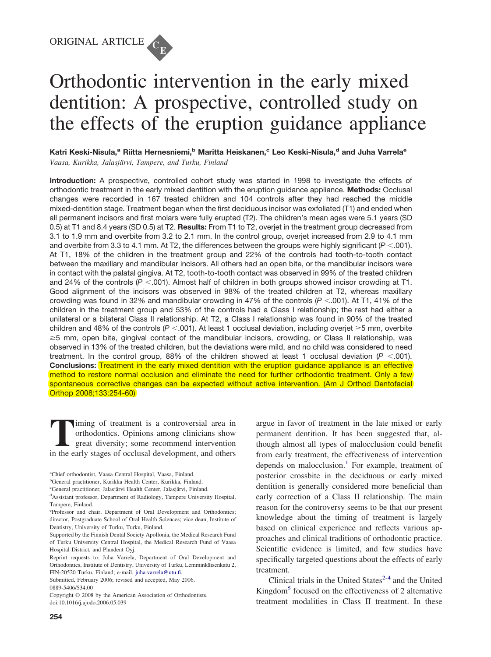# Orthodontic intervention in the early mixed dentition: A prospective, controlled study on the effects of the eruption guidance appliance

Katri Keski-Nisula,<sup>a</sup> Riitta Hernesniemi,<sup>b</sup> Maritta Heiskanen,<sup>c</sup> Leo Keski-Nisula,<sup>d</sup> and Juha Varrela<sup>e</sup> *Vaasa, Kurikka, Jalasjärvi, Tampere, and Turku, Finland*

**Introduction:** A prospective, controlled cohort study was started in 1998 to investigate the effects of orthodontic treatment in the early mixed dentition with the eruption guidance appliance. **Methods:** Occlusal changes were recorded in 167 treated children and 104 controls after they had reached the middle mixed-dentition stage. Treatment began when the first deciduous incisor was exfoliated (T1) and ended when all permanent incisors and first molars were fully erupted (T2). The children's mean ages were 5.1 years (SD 0.5) at T1 and 8.4 years (SD 0.5) at T2. **Results:** From T1 to T2, overjet in the treatment group decreased from 3.1 to 1.9 mm and overbite from 3.2 to 2.1 mm. In the control group, overjet increased from 2.9 to 4.1 mm and overbite from 3.3 to 4.1 mm. At T2, the differences between the groups were highly significant  $(P < .001)$ . At T1, 18% of the children in the treatment group and 22% of the controls had tooth-to-tooth contact between the maxillary and mandibular incisors. All others had an open bite, or the mandibular incisors were in contact with the palatal gingiva. At T2, tooth-to-tooth contact was observed in 99% of the treated children and 24% of the controls (*P* < 001). Almost half of children in both groups showed incisor crowding at T1. Good alignment of the incisors was observed in 98% of the treated children at T2, whereas maxillary crowding was found in 32% and mandibular crowding in 47% of the controls ( $P <$  .001). At T1, 41% of the children in the treatment group and 53% of the controls had a Class I relationship; the rest had either a unilateral or a bilateral Class II relationship. At T2, a Class I relationship was found in 90% of the treated children and 48% of the controls  $(P < .001)$ . At least 1 occlusal deviation, including overjet  $\geq$ 5 mm, overbite  $\geq$ 5 mm, open bite, gingival contact of the mandibular incisors, crowding, or Class II relationship, was observed in 13% of the treated children, but the deviations were mild, and no child was considered to need treatment. In the control group,  $88\%$  of the children showed at least 1 occlusal deviation ( $P < 0.001$ ). **Conclusions:** Treatment in the early mixed dentition with the eruption guidance appliance is an effective method to restore normal occlusion and eliminate the need for further orthodontic treatment. Only a few spontaneous corrective changes can be expected without active intervention. (Am J Orthod Dentofacial) Orthop 2008;133:254-60)

Timing of treatment is a controversial area in orthodontics. Opinions among clinicians show great diversity; some recommend intervention orthodontics. Opinions among clinicians show great diversity; some recommend intervention in the early stages of occlusal development, and others

argue in favor of treatment in the late mixed or early permanent dentition. It has been suggested that, although almost all types of malocclusion could benefit from early treatment, the effectiveness of intervention depends on malocclusion.<sup>[1](#page-5-0)</sup> For example, treatment of posterior crossbite in the deciduous or early mixed dentition is generally considered more beneficial than early correction of a Class II relationship. The main reason for the controversy seems to be that our present knowledge about the timing of treatment is largely based on clinical experience and reflects various approaches and clinical traditions of orthodontic practice. Scientific evidence is limited, and few studies have specifically targeted questions about the effects of early treatment.

Clinical trials in the United States $2-4$  and the United Kingdom<sup>[5](#page-5-0)</sup> focused on the effectiveness of 2 alternative treatment modalities in Class II treatment. In these

a Chief orthodontist, Vaasa Central Hospital, Vaasa, Finland.

b General practitioner, Kurikka Health Center, Kurikka, Finland.

c General practitioner, Jalasjärvi Health Center, Jalasjärvi, Finland.

d Assistant professor, Department of Radiology, Tampere University Hospital, Tampere, Finland.

e Professor and chair, Department of Oral Development and Orthodontics; director, Postgraduate School of Oral Health Sciences; vice dean, Institute of Dentistry, University of Turku, Turku, Finland.

Supported by the Finnish Dental Society Apollonia, the Medical Research Fund of Turku University Central Hospital, the Medical Research Fund of Vaasa Hospital District, and Plandent Oyj.

Reprint requests to: Juha Varrela, Department of Oral Development and Orthodontics, Institute of Dentistry, University of Turku, Lemminkäisenkatu 2, FIN-20520 Turku, Finland; e-mail, <juha.varrela@utu.fi.>

Submitted, February 2006; revised and accepted, May 2006. 0889-5406/\$34.00

Copyright © 2008 by the American Association of Orthodontists. doi:10.1016/j.ajodo.2006.05.039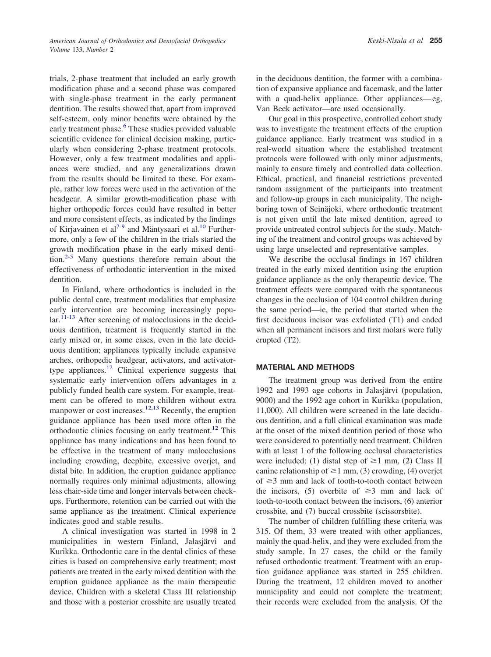trials, 2-phase treatment that included an early growth modification phase and a second phase was compared with single-phase treatment in the early permanent dentition. The results showed that, apart from improved self-esteem, only minor benefits were obtained by the early treatment phase.<sup>6</sup> These studies provided valuable scientific evidence for clinical decision making, particularly when considering 2-phase treatment protocols. However, only a few treatment modalities and appliances were studied, and any generalizations drawn from the results should be limited to these. For example, rather low forces were used in the activation of the headgear. A similar growth-modification phase with higher orthopedic forces could have resulted in better and more consistent effects, as indicated by the findings of Kirjavainen et al<sup>7-9</sup> and Mäntysaari et al.<sup>10</sup> Furthermore, only a few of the children in the trials started the growth modification phase in the early mixed dentition.[2-5](#page-5-0) Many questions therefore remain about the effectiveness of orthodontic intervention in the mixed dentition.

In Finland, where orthodontics is included in the public dental care, treatment modalities that emphasize early intervention are becoming increasingly popu- $\ar{1}^{1-13}$  After screening of malocclusions in the deciduous dentition, treatment is frequently started in the early mixed or, in some cases, even in the late deciduous dentition; appliances typically include expansive arches, orthopedic headgear, activators, and activatortype appliances. $12$  Clinical experience suggests that systematic early intervention offers advantages in a publicly funded health care system. For example, treatment can be offered to more children without extra manpower or cost increases.<sup>[12,13](#page-6-0)</sup> Recently, the eruption guidance appliance has been used more often in the orthodontic clinics focusing on early treatment.<sup>[12](#page-6-0)</sup> This appliance has many indications and has been found to be effective in the treatment of many malocclusions including crowding, deepbite, excessive overjet, and distal bite. In addition, the eruption guidance appliance normally requires only minimal adjustments, allowing less chair-side time and longer intervals between checkups. Furthermore, retention can be carried out with the same appliance as the treatment. Clinical experience indicates good and stable results.

A clinical investigation was started in 1998 in 2 municipalities in western Finland, Jalasjärvi and Kurikka. Orthodontic care in the dental clinics of these cities is based on comprehensive early treatment; most patients are treated in the early mixed dentition with the eruption guidance appliance as the main therapeutic device. Children with a skeletal Class III relationship and those with a posterior crossbite are usually treated

in the deciduous dentition, the former with a combination of expansive appliance and facemask, and the latter with a quad-helix appliance. Other appliances— eg, Van Beek activator—are used occasionally.

Our goal in this prospective, controlled cohort study was to investigate the treatment effects of the eruption guidance appliance. Early treatment was studied in a real-world situation where the established treatment protocols were followed with only minor adjustments, mainly to ensure timely and controlled data collection. Ethical, practical, and financial restrictions prevented random assignment of the participants into treatment and follow-up groups in each municipality. The neighboring town of Seinäjoki, where orthodontic treatment is not given until the late mixed dentition, agreed to provide untreated control subjects for the study. Matching of the treatment and control groups was achieved by using large unselected and representative samples.

We describe the occlusal findings in 167 children treated in the early mixed dentition using the eruption guidance appliance as the only therapeutic device. The treatment effects were compared with the spontaneous changes in the occlusion of 104 control children during the same period—ie, the period that started when the first deciduous incisor was exfoliated (T1) and ended when all permanent incisors and first molars were fully erupted (T2).

## **MATERIAL AND METHODS**

The treatment group was derived from the entire 1992 and 1993 age cohorts in Jalasjärvi (population, 9000) and the 1992 age cohort in Kurikka (population, 11,000). All children were screened in the late deciduous dentition, and a full clinical examination was made at the onset of the mixed dentition period of those who were considered to potentially need treatment. Children with at least 1 of the following occlusal characteristics were included: (1) distal step of  $\geq 1$  mm, (2) Class II canine relationship of  $\geq 1$  mm, (3) crowding, (4) overjet of  $\geq$ 3 mm and lack of tooth-to-tooth contact between the incisors, (5) overbite of  $\geq$ 3 mm and lack of tooth-to-tooth contact between the incisors, (6) anterior crossbite, and (7) buccal crossbite (scissorsbite).

The number of children fulfilling these criteria was 315. Of them, 33 were treated with other appliances, mainly the quad-helix, and they were excluded from the study sample. In 27 cases, the child or the family refused orthodontic treatment. Treatment with an eruption guidance appliance was started in 255 children. During the treatment, 12 children moved to another municipality and could not complete the treatment; their records were excluded from the analysis. Of the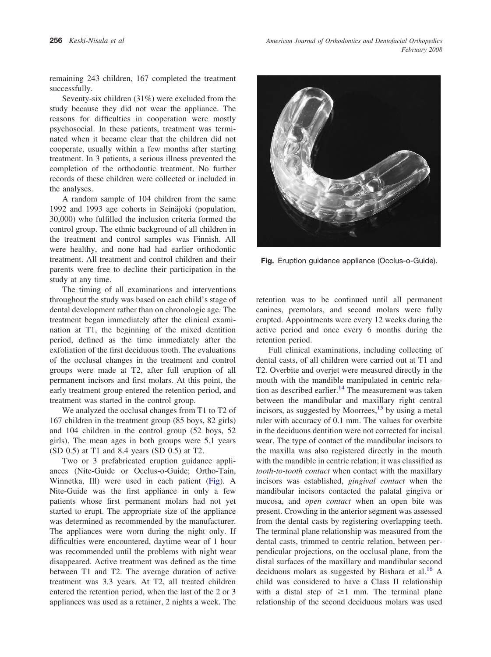remaining 243 children, 167 completed the treatment successfully.

Seventy-six children (31%) were excluded from the study because they did not wear the appliance. The reasons for difficulties in cooperation were mostly psychosocial. In these patients, treatment was terminated when it became clear that the children did not cooperate, usually within a few months after starting treatment. In 3 patients, a serious illness prevented the completion of the orthodontic treatment. No further records of these children were collected or included in the analyses.

A random sample of 104 children from the same 1992 and 1993 age cohorts in Seinäjoki (population, 30,000) who fulfilled the inclusion criteria formed the control group. The ethnic background of all children in the treatment and control samples was Finnish. All were healthy, and none had had earlier orthodontic treatment. All treatment and control children and their parents were free to decline their participation in the study at any time.

The timing of all examinations and interventions throughout the study was based on each child's stage of dental development rather than on chronologic age. The treatment began immediately after the clinical examination at T1, the beginning of the mixed dentition period, defined as the time immediately after the exfoliation of the first deciduous tooth. The evaluations of the occlusal changes in the treatment and control groups were made at T2, after full eruption of all permanent incisors and first molars. At this point, the early treatment group entered the retention period, and treatment was started in the control group.

We analyzed the occlusal changes from T1 to T2 of 167 children in the treatment group (85 boys, 82 girls) and 104 children in the control group (52 boys, 52 girls). The mean ages in both groups were 5.1 years (SD 0.5) at T1 and 8.4 years (SD 0.5) at T2.

Two or 3 prefabricated eruption guidance appliances (Nite-Guide or Occlus-o-Guide; Ortho-Tain, Winnetka, Ill) were used in each patient (Fig). A Nite-Guide was the first appliance in only a few patients whose first permanent molars had not yet started to erupt. The appropriate size of the appliance was determined as recommended by the manufacturer. The appliances were worn during the night only. If difficulties were encountered, daytime wear of 1 hour was recommended until the problems with night wear disappeared. Active treatment was defined as the time between T1 and T2. The average duration of active treatment was 3.3 years. At T2, all treated children entered the retention period, when the last of the 2 or 3 appliances was used as a retainer, 2 nights a week. The



**Fig.** Eruption guidance appliance (Occlus-o-Guide).

retention was to be continued until all permanent canines, premolars, and second molars were fully erupted. Appointments were every 12 weeks during the active period and once every 6 months during the retention period.

Full clinical examinations, including collecting of dental casts, of all children were carried out at T1 and T2. Overbite and overjet were measured directly in the mouth with the mandible manipulated in centric rela-tion as described earlier.<sup>[14](#page-6-0)</sup> The measurement was taken between the mandibular and maxillary right central incisors, as suggested by Moorrees, [15](#page-6-0) by using a metal ruler with accuracy of 0.1 mm. The values for overbite in the deciduous dentition were not corrected for incisal wear. The type of contact of the mandibular incisors to the maxilla was also registered directly in the mouth with the mandible in centric relation; it was classified as *tooth-to-tooth contact* when contact with the maxillary incisors was established, *gingival contact* when the mandibular incisors contacted the palatal gingiva or mucosa, and *open contact* when an open bite was present. Crowding in the anterior segment was assessed from the dental casts by registering overlapping teeth. The terminal plane relationship was measured from the dental casts, trimmed to centric relation, between perpendicular projections, on the occlusal plane, from the distal surfaces of the maxillary and mandibular second deciduous molars as suggested by Bishara et al.<sup>[16](#page-6-0)</sup> A child was considered to have a Class II relationship with a distal step of  $\geq 1$  mm. The terminal plane relationship of the second deciduous molars was used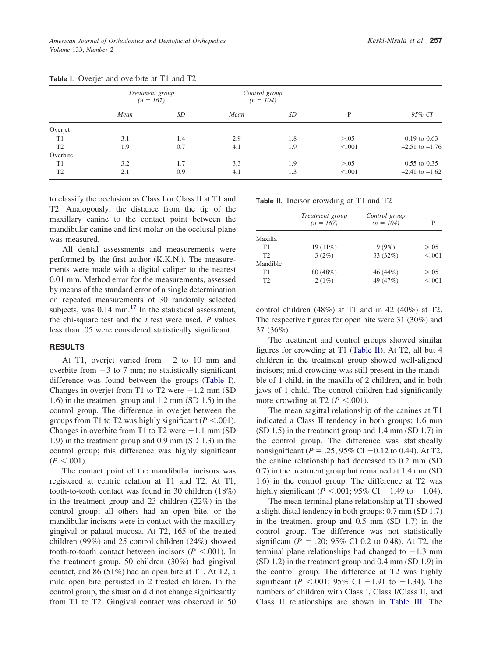|                | Treatment group<br>$(n = 167)$ |     | Control group<br>$(n = 104)$ |     |         |                    |
|----------------|--------------------------------|-----|------------------------------|-----|---------|--------------------|
|                | Mean                           | SD  | Mean                         | SD  | P       | 95% CI             |
| Overjet        |                                |     |                              |     |         |                    |
| T <sub>1</sub> | 3.1                            | 1.4 | 2.9                          | 1.8 | > 0.05  | $-0.19$ to 0.63    |
| T <sub>2</sub> | 1.9                            | 0.7 | 4.1                          | 1.9 | < .001  | $-2.51$ to $-1.76$ |
| Overbite       |                                |     |                              |     |         |                    |
| T1             | 3.2                            | 1.7 | 3.3                          | 1.9 | > 0.05  | $-0.55$ to 0.35    |
| T <sub>2</sub> | 2.1                            | 0.9 | 4.1                          | 1.3 | < 0.001 | $-2.41$ to $-1.62$ |

**Table I**. Overjet and overbite at T1 and T2

to classify the occlusion as Class I or Class II at T1 and T2. Analogously, the distance from the tip of the maxillary canine to the contact point between the mandibular canine and first molar on the occlusal plane was measured.

All dental assessments and measurements were performed by the first author (K.K.N.). The measurements were made with a digital caliper to the nearest 0.01 mm. Method error for the measurements, assessed by means of the standard error of a single determination on repeated measurements of 30 randomly selected subjects, was  $0.14 \text{ mm}$ .<sup>[17](#page-6-0)</sup> In the statistical assessment, the chi-square test and the *t* test were used. *P* values less than .05 were considered statistically significant.

# **RESULTS**

At T1, overjet varied from  $-2$  to 10 mm and overbite from  $-3$  to 7 mm; no statistically significant difference was found between the groups (Table I). Changes in overjet from T1 to T2 were  $-1.2$  mm (SD 1.6) in the treatment group and 1.2 mm (SD 1.5) in the control group. The difference in overjet between the groups from T1 to T2 was highly significant  $(P < .001)$ . Changes in overbite from T1 to T2 were  $-1.1$  mm (SD 1.9) in the treatment group and 0.9 mm (SD 1.3) in the control group; this difference was highly significant  $(P < .001)$ .

The contact point of the mandibular incisors was registered at centric relation at T1 and T2. At T1, tooth-to-tooth contact was found in 30 children (18%) in the treatment group and 23 children (22%) in the control group; all others had an open bite, or the mandibular incisors were in contact with the maxillary gingival or palatal mucosa. At T2, 165 of the treated children (99%) and 25 control children (24%) showed tooth-to-tooth contact between incisors ( $P < .001$ ). In the treatment group, 50 children (30%) had gingival contact, and 86 (51%) had an open bite at T1. At T2, a mild open bite persisted in 2 treated children. In the control group, the situation did not change significantly from T1 to T2. Gingival contact was observed in 50

|  |  | Table II. Incisor crowding at T1 and T2 |  |  |  |  |
|--|--|-----------------------------------------|--|--|--|--|
|--|--|-----------------------------------------|--|--|--|--|

|                | <i>Treatment group</i><br>$(n = 167)$ | Control group<br>$(n = 104)$ | Р       |
|----------------|---------------------------------------|------------------------------|---------|
| Maxilla        |                                       |                              |         |
| T1             | $19(11\%)$                            | 9(9%)                        | > 0.05  |
| T2             | 3(2%)                                 | 33 (32%)                     | < 0.001 |
| Mandible       |                                       |                              |         |
| T1             | 80 (48%)                              | 46 (44%)                     | > 0.05  |
| T <sub>2</sub> | 2(1%)                                 | 49 (47%)                     | < 0.001 |

control children (48%) at T1 and in 42 (40%) at T2. The respective figures for open bite were 31 (30%) and 37 (36%).

The treatment and control groups showed similar figures for crowding at T1 (Table II). At T2, all but 4 children in the treatment group showed well-aligned incisors; mild crowding was still present in the mandible of 1 child, in the maxilla of 2 children, and in both jaws of 1 child. The control children had significantly more crowding at T2 ( $P < .001$ ).

The mean sagittal relationship of the canines at T1 indicated a Class II tendency in both groups: 1.6 mm (SD 1.5) in the treatment group and 1.4 mm (SD 1.7) in the control group. The difference was statistically nonsignificant ( $P = .25$ ; 95% CI  $-0.12$  to 0.44). At T2, the canine relationship had decreased to 0.2 mm (SD 0.7) in the treatment group but remained at 1.4 mm (SD 1.6) in the control group. The difference at T2 was highly significant ( $P < .001$ ; 95% CI  $-1.49$  to  $-1.04$ ).

The mean terminal plane relationship at T1 showed a slight distal tendency in both groups: 0.7 mm (SD 1.7) in the treatment group and 0.5 mm (SD 1.7) in the control group. The difference was not statistically significant ( $P = .20$ ; 95% CI 0.2 to 0.48). At T2, the terminal plane relationships had changed to  $-1.3$  mm (SD 1.2) in the treatment group and 0.4 mm (SD 1.9) in the control group. The difference at T2 was highly significant ( $P < 0.001$ ; 95% CI -1.91 to -1.34). The numbers of children with Class I, Class I/Class II, and Class II relationships are shown in [Table III.](#page-4-0) The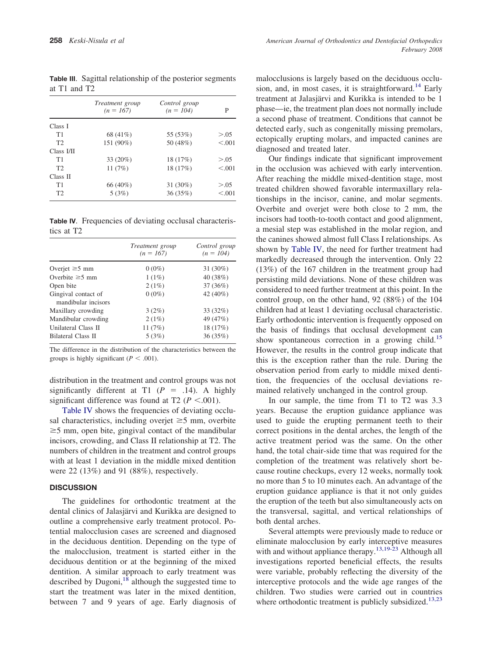|            | Treatment group<br>$(n = 167)$ | Control group<br>$(n = 104)$ | P       |
|------------|--------------------------------|------------------------------|---------|
| Class I    |                                |                              |         |
| T1         | 68 (41%)                       | 55 (53%)                     | > 0.05  |
| T2         | 151 (90%)                      | 50 (48%)                     | < 0.001 |
| Class I/II |                                |                              |         |
| T1         | $33(20\%)$                     | 18 (17%)                     | > 0.05  |
| T2         | 11 $(7%)$                      | 18 (17%)                     | < 0.001 |
| Class II   |                                |                              |         |
| T1         | 66 (40%)                       | $31(30\%)$                   | > 0.05  |
| T2         | 5(3%)                          | 36(35%)                      | < 0.01  |

<span id="page-4-0"></span>**Table III**. Sagittal relationship of the posterior segments at T1 and T2

**Table IV.** Frequencies of deviating occlusal characteristics at T2

|                                            | <i>Treatment group</i><br>$(n = 167)$ | Control group<br>$(n = 104)$ |
|--------------------------------------------|---------------------------------------|------------------------------|
| Overjet $\geq$ 5 mm                        | $0(0\%)$                              | $31(30\%)$                   |
| Overbite $\geq$ 5 mm                       | $1(1\%)$                              | 40 (38%)                     |
| Open bite                                  | 2(1%)                                 | 37(36%)                      |
| Gingival contact of<br>mandibular incisors | $0(0\%)$                              | 42 (40%)                     |
| Maxillary crowding                         | 3(2%)                                 | 33 (32%)                     |
| Mandibular crowding                        | 2(1%)                                 | 49 (47%)                     |
| Unilateral Class II                        | 11(7%)                                | 18 (17%)                     |
| Bilateral Class II                         | 5(3%)                                 | 36(35%)                      |

The difference in the distribution of the characteristics between the groups is highly significant  $(P < .001)$ .

distribution in the treatment and control groups was not significantly different at T1 ( $P = .14$ ). A highly significant difference was found at T2 ( $P < .001$ ).

Table IV shows the frequencies of deviating occlusal characteristics, including overjet  $\geq$ 5 mm, overbite  $\geq$ 5 mm, open bite, gingival contact of the mandibular incisors, crowding, and Class II relationship at T2. The numbers of children in the treatment and control groups with at least 1 deviation in the middle mixed dentition were 22 (13%) and 91 (88%), respectively.

# **DISCUSSION**

The guidelines for orthodontic treatment at the dental clinics of Jalasjärvi and Kurikka are designed to outline a comprehensive early treatment protocol. Potential malocclusion cases are screened and diagnosed in the deciduous dentition. Depending on the type of the malocclusion, treatment is started either in the deciduous dentition or at the beginning of the mixed dentition. A similar approach to early treatment was described by Dugoni, $18$  although the suggested time to start the treatment was later in the mixed dentition, between 7 and 9 years of age. Early diagnosis of

malocclusions is largely based on the deciduous occlu-sion, and, in most cases, it is straightforward.<sup>[14](#page-6-0)</sup> Early treatment at Jalasjärvi and Kurikka is intended to be 1 phase—ie, the treatment plan does not normally include a second phase of treatment. Conditions that cannot be detected early, such as congenitally missing premolars, ectopically erupting molars, and impacted canines are diagnosed and treated later.

Our findings indicate that significant improvement in the occlusion was achieved with early intervention. After reaching the middle mixed-dentition stage, most treated children showed favorable intermaxillary relationships in the incisor, canine, and molar segments. Overbite and overjet were both close to 2 mm, the incisors had tooth-to-tooth contact and good alignment, a mesial step was established in the molar region, and the canines showed almost full Class I relationships. As shown by Table IV, the need for further treatment had markedly decreased through the intervention. Only 22 (13%) of the 167 children in the treatment group had persisting mild deviations. None of these children was considered to need further treatment at this point. In the control group, on the other hand, 92 (88%) of the 104 children had at least 1 deviating occlusal characteristic. Early orthodontic intervention is frequently opposed on the basis of findings that occlusal development can show spontaneous correction in a growing child.<sup>[15](#page-6-0)</sup> However, the results in the control group indicate that this is the exception rather than the rule. During the observation period from early to middle mixed dentition, the frequencies of the occlusal deviations remained relatively unchanged in the control group.

In our sample, the time from T1 to T2 was 3.3 years. Because the eruption guidance appliance was used to guide the erupting permanent teeth to their correct positions in the dental arches, the length of the active treatment period was the same. On the other hand, the total chair-side time that was required for the completion of the treatment was relatively short because routine checkups, every 12 weeks, normally took no more than 5 to 10 minutes each. An advantage of the eruption guidance appliance is that it not only guides the eruption of the teeth but also simultaneously acts on the transversal, sagittal, and vertical relationships of both dental arches.

Several attempts were previously made to reduce or eliminate malocclusion by early interceptive measures with and without appliance therapy.<sup>13,19-23</sup> Although all investigations reported beneficial effects, the results were variable, probably reflecting the diversity of the interceptive protocols and the wide age ranges of the children. Two studies were carried out in countries where orthodontic treatment is publicly subsidized.<sup>[13,23](#page-6-0)</sup>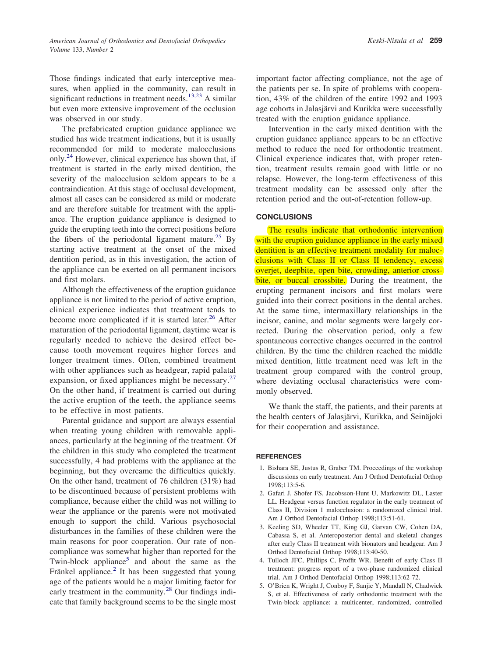<span id="page-5-0"></span>Those findings indicated that early interceptive measures, when applied in the community, can result in significant reductions in treatment needs.<sup>13,23</sup> A similar but even more extensive improvement of the occlusion was observed in our study.

The prefabricated eruption guidance appliance we studied has wide treatment indications, but it is usually recommended for mild to moderate malocclusions only.<sup>[24](#page-6-0)</sup> However, clinical experience has shown that, if treatment is started in the early mixed dentition, the severity of the malocclusion seldom appears to be a contraindication. At this stage of occlusal development, almost all cases can be considered as mild or moderate and are therefore suitable for treatment with the appliance. The eruption guidance appliance is designed to guide the erupting teeth into the correct positions before the fibers of the periodontal ligament mature.<sup>[25](#page-6-0)</sup> By starting active treatment at the onset of the mixed dentition period, as in this investigation, the action of the appliance can be exerted on all permanent incisors and first molars.

Although the effectiveness of the eruption guidance appliance is not limited to the period of active eruption, clinical experience indicates that treatment tends to become more complicated if it is started later.<sup>[26](#page-6-0)</sup> After maturation of the periodontal ligament, daytime wear is regularly needed to achieve the desired effect because tooth movement requires higher forces and longer treatment times. Often, combined treatment with other appliances such as headgear, rapid palatal expansion, or fixed appliances might be necessary.<sup>[27](#page-6-0)</sup> On the other hand, if treatment is carried out during the active eruption of the teeth, the appliance seems to be effective in most patients.

Parental guidance and support are always essential when treating young children with removable appliances, particularly at the beginning of the treatment. Of the children in this study who completed the treatment successfully, 4 had problems with the appliance at the beginning, but they overcame the difficulties quickly. On the other hand, treatment of 76 children (31%) had to be discontinued because of persistent problems with compliance, because either the child was not willing to wear the appliance or the parents were not motivated enough to support the child. Various psychosocial disturbances in the families of these children were the main reasons for poor cooperation. Our rate of noncompliance was somewhat higher than reported for the Twin-block appliance<sup>5</sup> and about the same as the Fränkel appliance.<sup>2</sup> It has been suggested that young age of the patients would be a major limiting factor for early treatment in the community.<sup>28</sup> Our findings indicate that family background seems to be the single most important factor affecting compliance, not the age of the patients per se. In spite of problems with cooperation, 43% of the children of the entire 1992 and 1993 age cohorts in Jalasjärvi and Kurikka were successfully treated with the eruption guidance appliance.

Intervention in the early mixed dentition with the eruption guidance appliance appears to be an effective method to reduce the need for orthodontic treatment. Clinical experience indicates that, with proper retention, treatment results remain good with little or no relapse. However, the long-term effectiveness of this treatment modality can be assessed only after the retention period and the out-of-retention follow-up.

# **CONCLUSIONS**

The results indicate that orthodontic intervention with the eruption guidance appliance in the early mixed) dentition is an effective treatment modality for malocclusions with Class II or Class II tendency, excess overjet, deepbite, open bite, crowding, anterior cross-(bite, or buccal crossbite.) During the treatment, the erupting permanent incisors and first molars were guided into their correct positions in the dental arches. At the same time, intermaxillary relationships in the incisor, canine, and molar segments were largely corrected. During the observation period, only a few spontaneous corrective changes occurred in the control children. By the time the children reached the middle mixed dentition, little treatment need was left in the treatment group compared with the control group, where deviating occlusal characteristics were commonly observed.

We thank the staff, the patients, and their parents at the health centers of Jalasjärvi, Kurikka, and Seinäjoki for their cooperation and assistance.

### **REFERENCES**

- 1. Bishara SE, Justus R, Graber TM. Proceedings of the workshop discussions on early treatment. Am J Orthod Dentofacial Orthop 1998;113:5-6.
- 2. Gafari J, Shofer FS, Jacobsson-Hunt U, Markowitz DL, Laster LL. Headgear versus function regulator in the early treatment of Class II, Division 1 malocclusion: a randomized clinical trial. Am J Orthod Dentofacial Orthop 1998;113:51-61.
- 3. Keeling SD, Wheeler TT, King GJ, Garvan CW, Cohen DA, Cabassa S, et al. Anteroposterior dental and skeletal changes after early Class II treatment with bionators and headgear. Am J Orthod Dentofacial Orthop 1998;113:40-50.
- 4. Tulloch JFC, Phillips C, Proffit WR. Benefit of early Class II treatment: progress report of a two-phase randomized clinical trial. Am J Orthod Dentofacial Orthop 1998;113:62-72.
- 5. O'Brien K, Wright J, Conboy F, Sanjie Y, Mandall N, Chadwick S, et al. Effectiveness of early orthodontic treatment with the Twin-block appliance: a multicenter, randomized, controlled